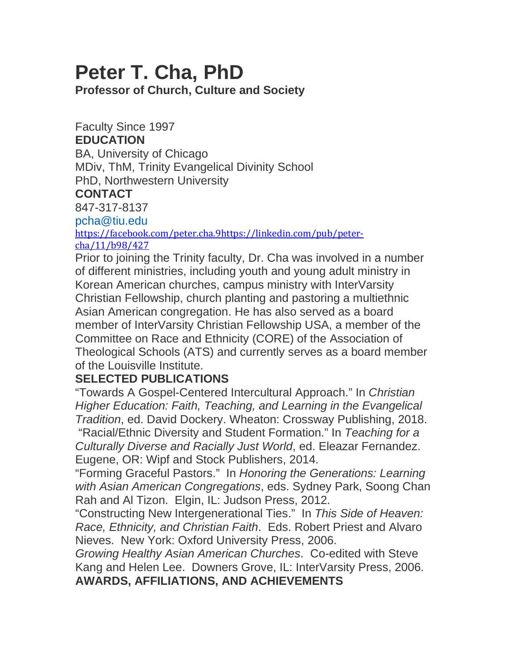## **Peter T. Cha, PhD**

**Professor of Church, Culture and Society**

Faculty Since 1997

## **EDUCATION**

BA, University of Chicago MDiv, ThM, Trinity Evangelical Divinity School PhD, Northwestern University

## **CONTACT**

847-317-8137

[pcha@tiu.edu](mailto:pcha@tiu.edu)

<https://facebook.com/peter.cha.9>[https://linkedin.com/pub/peter](https://linkedin.com/pub/peter-cha/11/b98/427)[cha/11/b98/427](https://linkedin.com/pub/peter-cha/11/b98/427)

Prior to joining the Trinity faculty, Dr. Cha was involved in a number of different ministries, including youth and young adult ministry in Korean American churches, campus ministry with InterVarsity Christian Fellowship, church planting and pastoring a multiethnic Asian American congregation. He has also served as a board member of InterVarsity Christian Fellowship USA, a member of the Committee on Race and Ethnicity (CORE) of the Association of Theological Schools (ATS) and currently serves as a board member of the Louisville Institute.

## **SELECTED PUBLICATIONS**

"Towards A Gospel-Centered Intercultural Approach." In *Christian Higher Education: Faith, Teaching, and Learning in the Evangelical Tradition*, ed. David Dockery. Wheaton: Crossway Publishing, 2018. "Racial/Ethnic Diversity and Student Formation." In *Teaching for a Culturally Diverse and Racially Just World*, ed. Eleazar Fernandez. Eugene, OR: Wipf and Stock Publishers, 2014.

"Forming Graceful Pastors." In *Honoring the Generations: Learning with Asian American Congregations*, eds. Sydney Park, Soong Chan Rah and Al Tizon. Elgin, IL: Judson Press, 2012.

"Constructing New Intergenerational Ties." In *This Side of Heaven: Race, Ethnicity, and Christian Faith*. Eds. Robert Priest and Alvaro Nieves. New York: Oxford University Press, 2006.

*Growing Healthy Asian American Churches*. Co-edited with Steve Kang and Helen Lee. Downers Grove, IL: InterVarsity Press, 2006. **AWARDS, AFFILIATIONS, AND ACHIEVEMENTS**